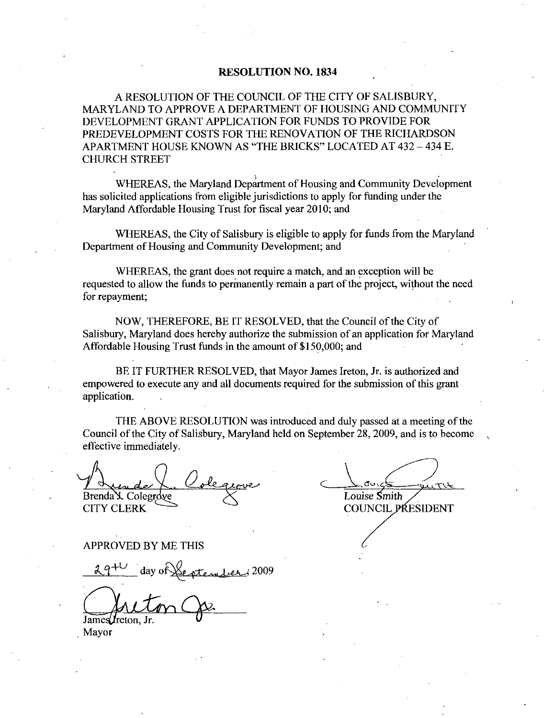### RESOLUTION NO. 1834

A RESOLUTION OF THE COUNCIL OF THE CITY OF SALISBURY MARYLAND TO APPROVE A DEPARTMENT OF HOUSING AND COMMUNITY DEVELOPMENT GRANT APPLICATION FOR FUNDS TO PROVIDE FOR PREDEVELOPMENT COSTS FOR THE RENOVATION OF THE RICHARDSON APARTMENT HOUSE KNOWN AS "THE BRICKS" LOCATED AT 432 - 434 E. CHURCH STREET

WHEREAS, the Maryland Department of Housing and Community Development has solicited applications from eligible jurisdictions to apply for funding under the Maryland Affordable Housing Trust for fiscal year 2010; and

WHEREAS, the City of Salisbury is eligible to apply for funds from the Maryland Department of Housing and Community Development; and

WHEREAS, the grant does not require a match, and an exception will be requested to allow the funds to permanently remain a part of the project, without the need for repayment

NOW, THEREFORE, BE IT RESOLVED, that the Council of the City of Salisbury, Maryland does hereby authorize the submission of an application for Maryland Affordable Housing Trust funds in the amount of  $$150,000$ ; and

BE IT FURTHER RESOLVED, that Mayor James Ireton, Jr. is authorized and empowered to execute any and all documents required for the submission of this grant application

THE ABOVE RESOLUTION was introduced and duly passed at a meeting of the Council of the City of Salisbury, Maryland held on September 28, 2009, and is to become effective immediately

Brenda X. Colegrove

CITY CLERK

APPROVED BY ME THIS

PROVED BY ME T 2009

James *I*reton.

Mayor

Louise Smith

COUNCIL PRESIDENT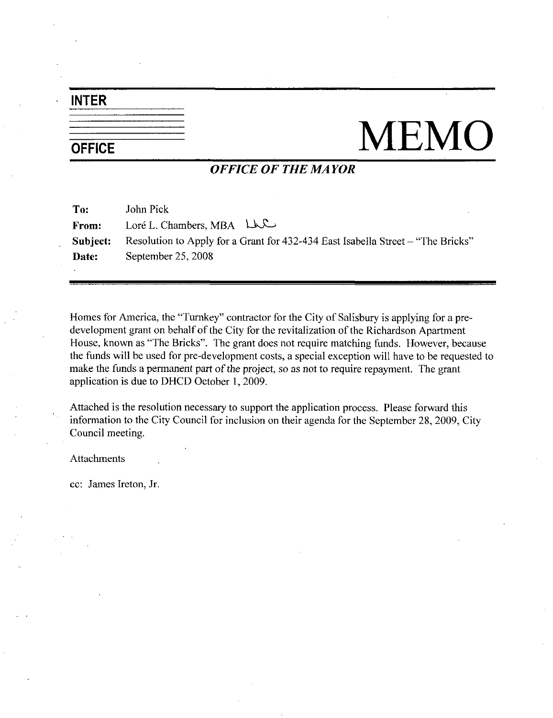### INTER

# $\frac{1}{\text{OFFICE}}$  MEMO

### OFFICE OF THE MAYOR

| To:      | John Pick                                                                       |
|----------|---------------------------------------------------------------------------------|
| From:    | Loré L. Chambers, MBA $L_{\text{KL}}$                                           |
| Subject: | Resolution to Apply for a Grant for 432-434 East Isabella Street – "The Bricks" |
| Date:    | September 25, 2008                                                              |
|          |                                                                                 |

Homes for America, the "Turnkey" contractor for the City of Salisbury is applying for a predevelopment grant on behalf of the City for the revitalization of the Richardson Apartment House, known as "The Bricks". The grant does not require matching funds. However, because the funds will be used for the City for the revitalization of the Richardson Apartment<br>House, known as "The Bricks". The grant does not require matching funds. However, because<br>the funds will be used for pre-development co make the funds a permanent part of the project, so as not to require repayment. The grant application is due to DHCD October 1, 2009.

Attached is the resolution necessary to support the application process. Please forward this information to the City Council for inclusion on their agenda for the September 28, 2009, City Council meeting

Attachments

cc: James Ireton, Jr.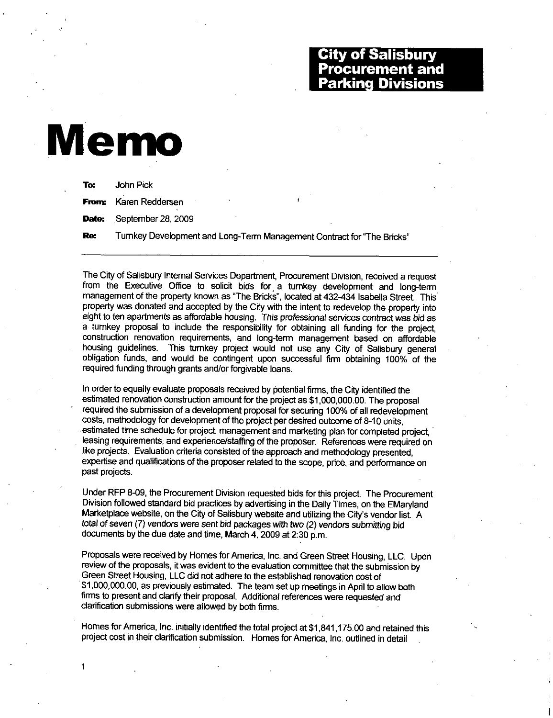### City of Salisbury **Procurement and** Parking Divisions

## Memo

1

To: John Pick From: Karen Reddersen Date: September 28, 2009 Re: Turnkey Development and Long-Term Management Contract for "The Bricks"

The City of Salisbury Internal Services Department, Procurement Division, received a request from the Executive Office to solicit bids for a turnkey development and long-term management of the property known as "The Bricks", located at 432-434 Isabella Street. This property was donated and accepted by the City with the intent to redevelop the property into eight to ten apartments as affordable housing. This professional services contract was bid as a turnkey proposal to include the responsibility for obtaining all funding for the project construction renovation requirements, and long-term management based on affordable housing guidelines. This turnkey project would not use any City of Salisbury general obligation funds, and would be contingent upon successful firm obtaining 100% of the required funding through grants and/or forgivable loans. estimated renovation construction amount for the project as \$1,000,000. The proposal required the state was model and in the proposal to include the responsibility for obtaining all funding for the production renovation re

In order to equally evaluate proposals received by potential firms, the City identified the required the submission of a development proposal for securing 100% of all redevelopment costs, methodology for development of the project per desired outcome of 8-10 units. estimated renovation construction amount for the project as \$1,000,000.00. The proposal estimated time schedule for project, management and marketing plan for completed project. leasing requirements, and experience/staffing of the proposer. References were required on like projects. Evaluation criteria consisted of the approach and methodology presented. expertise and qualifications of the proposer related to the scope, price, and performance on past projects

Under RFP 8-09, the Procurement Division requested bids for this project. The Procurement Division followed standard bid practices by advertising in the Daily Times, on the EMaryland Under RFP 8-09, the Procurement Division requested bids for this project. The Procurement Division followed standard bid practices by advertising in the Daily Times, on the EMarylar Marketplace website, on the City of Sali Marketplace website, on the City of Salisbury website and utilizing the City's vendor list. A total of seven (7) vendors were sent bid packages with two (2) vendors submitting bid documents by the due date and time, March  $4$ , 2009 at 2:30 p.m.

Proposals were received by Homes for America, Inc. and Green Street Housing, LLC. Upon review of the proposals, it was evident to the evaluation committee that the submission by Green Street Housing LLC did not adhere to the established renovation cost of Marketplace we<br>
total of seven (7<br>
documents by the Proposals were<br>
review of the proferent State Hd<br>
\$1,000,000.00, if firms to present<br>
clarification subr Proposals were received by Homes for America, Inc. and Green Street Housing, LLC. I<br>review of the proposals, it was evident to the evaluation committee that the submission b<br>Green Street Housing, LLC did not adhere to the firms to present and clarify their proposal. Additional references were requested and clarification submissions were allowed by both firms. Proposals were received by Homes for America, Inc. and Green Street Housing, LLC. Upor<br>review of the proposals, it was evident to the evaluation committee that the submission by<br>Green Street Housing, LLC did not adhere to

project cost in their clarification submission. Homes for America, Inc. outlined in detail